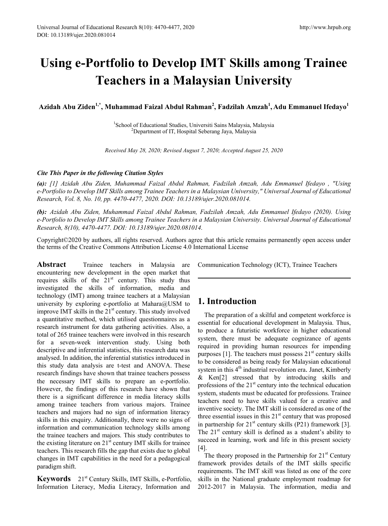# **Using e-Portfolio to Develop IMT Skills among Trainee Teachers in a Malaysian University**

**Azidah Abu Ziden1,\* , Muhammad Faizal Abdul Rahman<sup>2</sup> , Fadzilah Amzah<sup>1</sup> , Adu Emmanuel Ifedayo<sup>1</sup>**

<sup>1</sup>School of Educational Studies, Universiti Sains Malaysia, Malaysia<sup>2</sup> <sup>2</sup>Department of IT, Hospital Seberang Jaya, Malaysia

*Received May 28, 2020; Revised August 7, 2020; Accepted August 25, 2020*

#### *Cite This Paper in the following Citation Styles*

*(a): [1] Azidah Abu Ziden, Muhammad Faizal Abdul Rahman, Fadzilah Amzah, Adu Emmanuel Ifedayo , "Using e-Portfolio to Develop IMT Skills among Trainee Teachers in a Malaysian University," Universal Journal of Educational Research, Vol. 8, No. 10, pp. 4470-4477, 2020. DOI: 10.13189/ujer.2020.081014.* 

*(b): Azidah Abu Ziden, Muhammad Faizal Abdul Rahman, Fadzilah Amzah, Adu Emmanuel Ifedayo (2020). Using e-Portfolio to Develop IMT Skills among Trainee Teachers in a Malaysian University. Universal Journal of Educational Research, 8(10), 4470-4477. DOI: 10.13189/ujer.2020.081014.* 

Copyright©2020 by authors, all rights reserved. Authors agree that this article remains permanently open access under the terms of the Creative Commons Attribution License 4.0 International License

**Abstract Trainee teachers in Malaysia are** encountering new development in the open market that requires skills of the  $21<sup>st</sup>$  century. This study thus investigated the skills of information, media and technology (IMT) among trainee teachers at a Malaysian university by exploring e-portfolio at Mahara@USM to improve IMT skills in the 21<sup>st</sup> century. This study involved a quantitative method, which utilised questionnaires as a research instrument for data gathering activities. Also, a total of 265 trainee teachers were involved in this research for a seven-week intervention study. Using both descriptive and inferential statistics, this research data was analysed. In addition, the inferential statistics introduced in this study data analysis are t-test and ANOVA. These research findings have shown that trainee teachers possess the necessary IMT skills to prepare an e-portfolio. However, the findings of this research have shown that there is a significant difference in media literacy skills among trainee teachers from various majors. Trainee teachers and majors had no sign of information literacy skills in this enquiry. Additionally, there were no signs of information and communication technology skills among the trainee teachers and majors. This study contributes to the existing literature on  $21<sup>st</sup>$  century IMT skills for trainee teachers. This research fills the gap that exists due to global changes in IMT capabilities in the need for a pedagogical paradigm shift.

**Keywords** 21st Century Skills, IMT Skills, e-Portfolio, Information Literacy, Media Literacy, Information and

Communication Technology (ICT), Trainee Teachers

# **1. Introduction**

The preparation of a skilful and competent workforce is essential for educational development in Malaysia. Thus, to produce a futuristic workforce in higher educational system, there must be adequate cognizance of agents required in providing human resources for impending purposes  $[1]$ . The teachers must possess  $21<sup>st</sup>$  century skills to be considered as being ready for Malaysian educational system in this  $4<sup>th</sup>$  industrial revolution era. Janet, Kimberly & Ken[2] stressed that by introducing skills and professions of the  $21<sup>st</sup>$  century into the technical education system, students must be educated for professions. Trainee teachers need to have skills valued for a creative and inventive society. The IMT skill is considered as one of the three essential issues in this  $21<sup>st</sup>$  century that was proposed in partnership for  $21<sup>st</sup>$  century skills (P21) framework [3]. The  $21<sup>st</sup>$  century skill is defined as a student's ability to succeed in learning, work and life in this present society [4].

The theory proposed in the Partnership for  $21<sup>st</sup>$  Century framework provides details of the IMT skills specific requirements. The IMT skill was listed as one of the core skills in the National graduate employment roadmap for 2012-2017 in Malaysia. The information, media and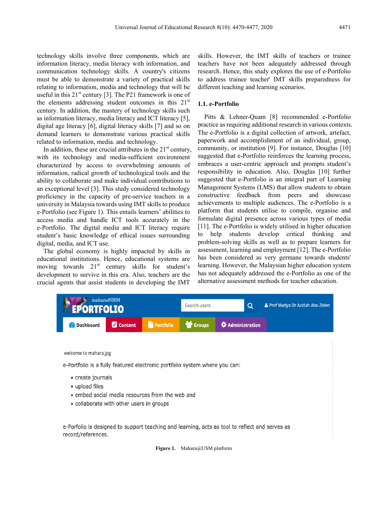technology skills involve three components, which are information literacy, media literacy with information, and communication technology skills. A country's citizens must be able to demonstrate a variety of practical skills relating to information, media and technology that will be useful in this  $21^{st}$  century [3]. The P21 framework is one of the elements addressing student outcomes in this  $21<sup>st</sup>$ century. In addition, the mastery of technology skills such as information literacy, media literacy and ICT literacy [5], digital age literacy [6], digital literacy skills [7] and so on demand learners to demonstrate various practical skills related to information, media. and technology.

In addition, these are crucial attributes in the  $21<sup>st</sup>$  century, with its technology and media-sufficient environment characterized by access to overwhelming amounts of information, radical growth of technological tools and the ability to collaborate and make individual contributions to an exceptional level [3]. This study considered technology proficiency in the capacity of pre-service teachers in a university in Malaysia towards using IMT skills to produce e-Portfolio (see Figure 1). This entails learners' abilities to access media and handle ICT tools accurately in the e-Portfolio. The digital media and ICT literacy require student's basic knowledge of ethical issues surrounding digital, media, and ICT use.

The global economy is highly impacted by skills in educational institutions. Hence, educational systems are moving towards 21<sup>st</sup> century skills for student's development to survive in this era. Also, teachers are the crucial agents that assist students in developing the IMT

skills. However, the IMT skills of teachers or trainee teachers have not been adequately addressed through research. Hence, this study explores the use of e-Portfolio to address trainee teacher' IMT skills preparedness for different teaching and learning scenarios.

#### **1.1. e-Portfolio**

Pitts & Lehner-Quam [8] recommended e-Portfolio practice as requiring additional research in various contexts. The e-Portfolio is a digital collection of artwork, artefact, paperwork and accomplishment of an individual, group, community, or institution [9]. For instance, Douglas [10] suggested that e-Portfolio reinforces the learning process, embraces a user-centric approach and prompts student's responsibility in education. Also, Douglas [10] further suggested that e-Portfolio is an integral part of Learning Management Systems (LMS) that allow students to obtain constructive feedback from peers and showcase achievements to multiple audiences. The e-Portfolio is a platform that students utilise to compile, organise and formulate digital presence across various types of media [11]. The e-Portfolio is widely utilised in higher education to help students develop critical thinking and problem-solving skills as well as to prepare learners for assessment, learning and employment [12]. The e-Portfolio has been considered as very germane towards students' learning. However, the Malaysian higher education system has not adequately addressed the e-Portfolio as one of the alternative assessment methods for teacher education.



welcome to mahara.jpg

e-Portfolio is a fully featured electronic portfolio system where you can:

- create journals
- · upload files
- embed social media resources from the web and
- collaborate with other users in groups

e-Porfolio is designed to support teaching and learning, acts as tool to reflect and serves as record/references.

Figure 1. Mahara@USM platform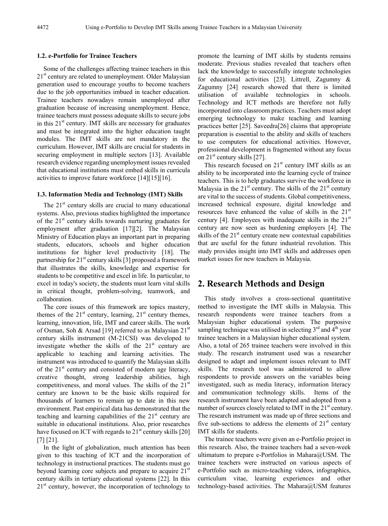#### **1.2. e-Portfolio for Trainee Teachers**

Some of the challenges affecting trainee teachers in this  $21<sup>st</sup>$  century are related to unemployment. Older Malaysian generation used to encourage youths to become teachers due to the job opportunities imbued in teacher education. Trainee teachers nowadays remain unemployed after graduation because of increasing unemployment. Hence, trainee teachers must possess adequate skills to secure jobs in this  $21<sup>st</sup>$  century. IMT skills are necessary for graduates and must be integrated into the higher education taught modules. The IMT skills are not mandatory in the curriculum. However, IMT skills are crucial for students in securing employment in multiple sectors [13]. Available research evidence regarding unemployment issues revealed that educational institutions must embed skills in curricula activities to improve future workforce [14][15][16].

#### **1.3. Information Media and Technology (IMT) Skills**

The  $21<sup>st</sup>$  century skills are crucial to many educational systems. Also, previous studies highlighted the importance of the  $21<sup>st</sup>$  century skills towards nurturing graduates for employment after graduation [17][2]. The Malaysian Ministry of Education plays an important part in preparing students, educators, schools and higher education institutions for higher level productivity [18]. The partnership for  $21<sup>st</sup>$  century skills [3] proposed a framework that illustrates the skills, knowledge and expertise for students to be competitive and excel in life. In particular, to excel in today's society, the students must learn vital skills in critical thought, problem-solving, teamwork, and collaboration.

The core issues of this framework are topics mastery, themes of the  $21^{st}$  century, learning,  $21^{st}$  century themes, learning, innovation, life, IMT and career skills. The work of Osman, Soh & Arsad [19] referred to as Malaysian 21<sup>st</sup> century skills instrument (M-21CSI) was developed to investigate whether the skills of the  $21<sup>st</sup>$  century are applicable to teaching and learning activities. The instrument was introduced to quantify the Malaysian skills of the  $21<sup>st</sup>$  century and consisted of modern age literacy, creative thought, strong leadership abilities, high competitiveness, and moral values. The skills of the  $21<sup>st</sup>$ century are known to be the basic skills required for thousands of learners to remain up to date in this new environment. Past empirical data has demonstrated that the teaching and learning capabilities of the  $21<sup>st</sup>$  century are suitable in educational institutions. Also, prior researches have focused on ICT with regards to  $21<sup>st</sup>$  century skills [20] [7] [21].

In the light of globalization, much attention has been given to this teaching of ICT and the incorporation of technology in instructional practices. The students must go beyond learning core subjects and prepare to acquire  $21<sup>st</sup>$ century skills in tertiary educational systems [22]. In this  $21<sup>st</sup>$  century, however, the incorporation of technology to

promote the learning of IMT skills by students remains moderate. Previous studies revealed that teachers often lack the knowledge to successfully integrate technologies for educational activities [23]. Littrell, Zagumny & Zagumny [24] research showed that there is limited utilisation of available technologies in schools. Technology and ICT methods are therefore not fully incorporated into classroom practices. Teachers must adopt emerging technology to make teaching and learning practices better [25]. Saveedra[26] claims that appropriate preparation is essential to the ability and skills of teachers to use computers for educational activities. However, professional development is fragmented without any focus on  $21<sup>st</sup>$  century skills [27].

This research focused on  $21<sup>st</sup>$  century IMT skills as an ability to be incorporated into the learning cycle of trainee teachers. This is to help graduates survive the workforce in Malaysia in the  $21<sup>st</sup>$  century. The skills of the  $21<sup>st</sup>$  century are vital to the success of students. Global competitiveness, increased technical exposure, digital knowledge and resources have enhanced the value of skills in the  $21<sup>st</sup>$ century [4]. Employees with inadequate skills in the  $21<sup>st</sup>$ century are now seen as burdening employers [4]. The skills of the  $21<sup>st</sup>$  century create new contextual capabilities that are useful for the future industrial revolution. This study provides insight into IMT skills and addresses open market issues for new teachers in Malaysia.

### **2. Research Methods and Design**

This study involves a cross-sectional quantitative method to investigate the IMT skills in Malaysia. This research respondents were trainee teachers from a Malaysian higher educational system. The purposive sampling technique was utilised in selecting  $3<sup>rd</sup>$  and  $4<sup>th</sup>$  year trainee teachers in a Malaysian higher educational system. Also, a total of 265 trainee teachers were involved in this study. The research instrument used was a researcher designed to adapt and implement issues relevant to IMT skills. The research tool was administered to allow respondents to provide answers on the variables being investigated, such as media literacy, information literacy and communication technology skills. Items of the research instrument have been adapted and adopted from a number of sources closely related to IMT in the  $21<sup>st</sup>$  century. The research instrument was made up of three sections and five sub-sections to address the elements of  $21<sup>st</sup>$  century IMT skills for students.

The trainee teachers were given an e-Portfolio project in this research. Also, the trainee teachers had a seven-week ultimatum to prepare e-Portfolios in Mahara@USM. The trainee teachers were instructed on various aspects of e-Portfolio such as micro-teaching videos, infographics, curriculum vitae, learning experiences and other technology-based activities. The Mahara@USM features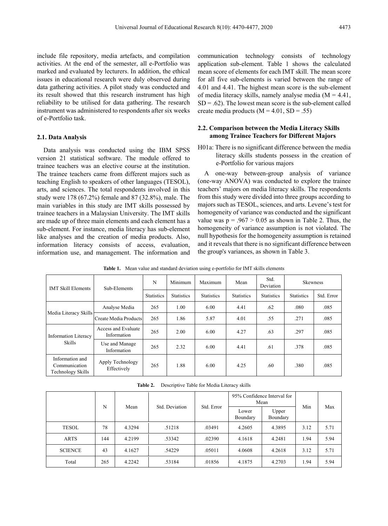include file repository, media artefacts, and compilation activities. At the end of the semester, all e-Portfolio was marked and evaluated by lecturers. In addition, the ethical issues in educational research were duly observed during data gathering activities. A pilot study was conducted and its result showed that this research instrument has high reliability to be utilised for data gathering. The research instrument was administered to respondents after six weeks of e-Portfolio task.

#### **2.1. Data Analysis**

Data analysis was conducted using the IBM SPSS version 21 statistical software. The module offered to trainee teachers was an elective course at the institution. The trainee teachers came from different majors such as teaching English to speakers of other languages (TESOL), arts, and sciences. The total respondents involved in this study were 178 (67.2%) female and 87 (32.8%), male. The main variables in this study are IMT skills possessed by trainee teachers in a Malaysian University. The IMT skills are made up of three main elements and each element has a sub-element. For instance, media literacy has sub-element like analyses and the creation of media products. Also, information literacy consists of access, evaluation, information use, and management. The information and

communication technology consists of technology application sub-element. Table 1 shows the calculated mean score of elements for each IMT skill. The mean score for all five sub-elements is varied between the range of 4.01 and 4.41. The highest mean score is the sub-element of media literacy skills, namely analyse media  $(M = 4.41)$ ,  $SD = .62$ ). The lowest mean score is the sub-element called create media products  $(M = 4.01, SD = .55)$ 

#### **2.2. Comparison between the Media Literacy Skills among Trainee Teachers for Different Majors**

H01a: There is no significant difference between the media literacy skills students possess in the creation of e-Portfolio for various majors

A one-way between-group analysis of variance (one-way ANOVA) was conducted to explore the trainee teachers' majors on media literacy skills. The respondents from this study were divided into three groups according to majors such as TESOL, sciences, and arts. Levene's test for homogeneity of variance was conducted and the significant value was  $p = .967 > 0.05$  as shown in Table 2. Thus, the homogeneity of variance assumption is not violated. The null hypothesis for the homogeneity assumption is retained and it reveals that there is no significant difference between the group's variances, as shown in Table 3.

| <b>IMT Skill Elements</b>                                    | Sub-Elements                       | N                 | Minimum           | Maximum           | Mean              | Std.<br>Deviation | <b>Skewness</b>   |            |
|--------------------------------------------------------------|------------------------------------|-------------------|-------------------|-------------------|-------------------|-------------------|-------------------|------------|
|                                                              |                                    | <b>Statistics</b> | <b>Statistics</b> | <b>Statistics</b> | <b>Statistics</b> | <b>Statistics</b> | <b>Statistics</b> | Std. Error |
| Media Literacy Skills                                        | Analyse Media                      | 265               | 1.00              | 6.00              | 4.41              | .62               | .080              | .085       |
|                                                              | Create Media Products              | 265               | 1.86              | 5.87              | 4.01              | .55               | .271              | .085       |
| <b>Information Literacy</b><br><b>Skills</b>                 | Access and Evaluate<br>Information | 265               | 2.00              | 6.00              | 4.27              | .63               | .297              | .085       |
|                                                              | Use and Manage<br>Information      | 265               | 2.32              | 6.00              | 4.41              | .61               | .378              | .085       |
| Information and<br>Communication<br><b>Technology Skills</b> | Apply Technology<br>Effectively    | 265               | 1.88              | 6.00              | 4.25              | .60               | .380              | .085       |

**Table 1.** Mean value and standard deviation using e-portfolio for IMT skills elements

**Table 2.** Descriptive Table for Media Literacy skills

| N              |     |        |                |            | 95% Confidence Interval for<br>Mean |                   | Min  | Max  |
|----------------|-----|--------|----------------|------------|-------------------------------------|-------------------|------|------|
|                |     | Mean   | Std. Deviation | Std. Error | Lower<br>Boundary                   | Upper<br>Boundary |      |      |
| <b>TESOL</b>   | 78  | 4.3294 | .51218         | .03491     | 4.2605                              | 4.3895            | 3.12 | 5.71 |
| <b>ARTS</b>    | 144 | 4.2199 | .53342         | .02390     | 4.1618                              | 4.2481            | 1.94 | 5.94 |
| <b>SCIENCE</b> | 43  | 4.1627 | .54229         | .05011     | 4.0608                              | 4.2618            | 3.12 | 5.71 |
| Total          | 265 | 4.2242 | .53184         | .01856     | 4.1875                              | 4.2703            | 1.94 | 5.94 |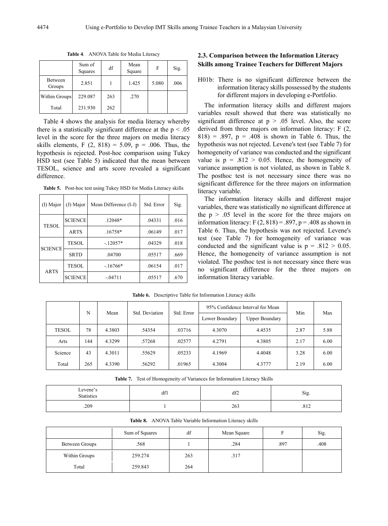|                   | Sum of<br>Squares | df  | Mean<br>Square | F     | Sig. |
|-------------------|-------------------|-----|----------------|-------|------|
| Between<br>Groups | 2.851             |     | 1.425          | 5.080 | .006 |
| Within Groups     | 229.087           | 263 | .270           |       |      |
| Total             | 231.930           | 262 |                |       |      |

**Table 4**. ANOVA Table for Media Literacy

Table 4 shows the analysis for media literacy whereby there is a statistically significant difference at the  $p < .05$ level in the score for the three majors on media literacy skills elements, F  $(2, 818) = 5.09$ , p = .006. Thus, the hypothesis is rejected. Post-hoc comparison using Tukey HSD test (see Table 5) indicated that the mean between TESOL, science and arts score revealed a significant difference.

**Table 5.** Post-hoc test using Tukey HSD for Media Literacy skills

| (I) Major      | (J) Major      | Mean Difference (I-J) | Std. Error | Sig. |
|----------------|----------------|-----------------------|------------|------|
| <b>TESOL</b>   | <b>SCIENCE</b> | $.12048*$             | .04331     | .016 |
|                | <b>ARTS</b>    | $.16758*$             | .06149     | .017 |
| <b>SCIENCE</b> | <b>TESOL</b>   | $-.12057*$            | .04329     | .018 |
|                | <b>SRTD</b>    | .04700                | .05517     | .669 |
| <b>ARTS</b>    | <b>TESOL</b>   | $-.16766*$            | .06154     | .017 |
|                | <b>SCIENCE</b> | $-.04711$             | .05517     | .670 |

## **2.3. Comparison between the Information Literacy Skills among Trainee Teachers for Different Majors**

H01b: There is no significant difference between the information literacy skills possessed by the students for different majors in developing e-Portfolio.

The information literacy skills and different majors variables result showed that there was statistically no significant difference at  $p > .05$  level. Also, the score derived from three majors on information literacy: F (2,  $818$ ) = .897, p = .408 is shown in Table 6. Thus, the hypothesis was not rejected. Levene's test (see Table 7) for homogeneity of variance was conducted and the significant value is  $p = .812 > 0.05$ . Hence, the homogeneity of variance assumption is not violated, as shown in Table 8. The posthoc test is not necessary since there was no significant difference for the three majors on information literacy variable.

The information literacy skills and different major variables, there was statistically no significant difference at the  $p > .05$  level in the score for the three majors on information literacy:  $F(2, 818) = .897$ ,  $p = .408$  as shown in Table 6. Thus, the hypothesis was not rejected. Levene's test (see Table 7) for homogeneity of variance was conducted and the significant value is  $p = .812 > 0.05$ . Hence, the homogeneity of variance assumption is not violated. The posthoc test is not necessary since there was no significant difference for the three majors on information literacy variable.

| N            |     | Mean   | Std. Deviation | Std. Error | 95% Confidence Interval for Mean |                       |      |      |
|--------------|-----|--------|----------------|------------|----------------------------------|-----------------------|------|------|
|              |     |        |                |            | Lower Boundary                   | <b>Upper Boundary</b> | Min  | Max  |
| <b>TESOL</b> | 78  | 4.3803 | .54354         | .03716     | 4.3070                           | 4.4535                | 2.87 | 5.88 |
| Arts         | 144 | 4.3299 | .57268         | .02577     | 4.2791                           | 4.3805                | 2.17 | 6.00 |
| Science      | 43  | 4.3011 | .55629         | .05233     | 4.1969                           | 4.4048                | 3.28 | 6.00 |
| Total        | 265 | 4.3390 | .56292         | .01965     | 4.3004                           | 4.3777                | 2.19 | 6.00 |

**Table 6.** Descriptive Table for Information Literacy skills

**Table 7.** Test of Homogeneity of Variances for Information Literacy Skills

| $L$ evene's<br><b>Statistics</b> | LO <sub>3</sub><br>dfl | df2 | $\sim$<br>Sig           |
|----------------------------------|------------------------|-----|-------------------------|
| .209                             |                        | 263 | 01 <sup>2</sup><br>.012 |

|                | Sum of Squares | df  | Mean Square |      | Sig. |
|----------------|----------------|-----|-------------|------|------|
| Between Groups | .568           |     | .284        | .897 | .408 |
| Within Groups  | 259.274        | 263 | .317        |      |      |
| Total          | 259.843        | 264 |             |      |      |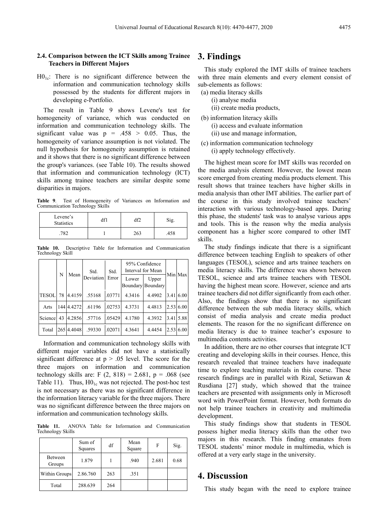#### **2.4. Comparison between the ICT Skills among Trainee Teachers in Different Majors**

 $H0<sub>1c</sub>$ : There is no significant difference between the information and communication technology skills possessed by the students for different majors in developing e-Portfolio.

The result in Table 9 shows Levene's test for homogeneity of variance, which was conducted on information and communication technology skills. The significant value was  $p = .458 > 0.05$ . Thus, the homogeneity of variance assumption is not violated. The null hypothesis for homogeneity assumption is retained and it shows that there is no significant difference between the group's variances. (see Table 10). The results showed that information and communication technology (ICT) skills among trainee teachers are similar despite some disparities in majors.

**Table 9**. Test of Homogeneity of Variances on Information and Communication Technology Skills

| Levene's<br><b>Statistics</b> | ١M  | Sig. |  |
|-------------------------------|-----|------|--|
| 702                           | 263 | .458 |  |

**Table 10.** Descriptive Table for Information and Communication Technology Skill

| N            |    | Std.       | Std.      | 95% Confidence<br>Interval for Mean |        |                                   |            |
|--------------|----|------------|-----------|-------------------------------------|--------|-----------------------------------|------------|
|              |    | Mean       | Deviation | Error                               | Lower  | Upper<br><b>Boundary Boundary</b> | Min Max    |
| <b>TESOL</b> | 78 | 4.4159     | .55168    | .03771                              | 4.3416 | 4.4902                            | 3.41 6.00  |
| Arts         |    | 144 4.4272 | .61196    | .02753                              | 4.3731 | 4.4813                            | 2.53(6.00) |
| Science      | 43 | 4.2856     | .57716    | .05429                              | 4.1780 | 4.3932                            | 3.41 5.88  |
| Total        |    | 265 4.4048 | .59330    | .02071                              | 4.3641 | 4.4454                            | 2.53 6.00  |

Information and communication technology skills with different major variables did not have a statistically significant difference at  $p > .05$  level. The score for the three majors on information and communication technology skills are: F  $(2, 818) = 2.681$ , p = .068 (see Table 11). Thus,  $H0<sub>1c</sub>$  was not rejected. The post-hoc test is not necessary as there was no significant difference in the information literacy variable for the three majors. There was no significant difference between the three majors on information and communication technology skills.

**Table 11.** ANOVA Table for Information and Communication Technology Skills

|                      | Sum of<br>Squares | df  | Mean<br>Square | F     | Sig. |
|----------------------|-------------------|-----|----------------|-------|------|
| Between<br>Groups    | 1.879             |     | .940           | 2.681 | 0.68 |
| <b>Within Groups</b> | 2.86.760          | 263 | .351           |       |      |
| Total                | 288.639           | 264 |                |       |      |

# **3. Findings**

This study explored the IMT skills of trainee teachers with three main elements and every element consist of sub-elements as follows:

- (a) media literacy skills
	- (i) analyse media
	- (ii) create media products,
- (b) information literacy skills (i) access and evaluate information (ii) use and manage information,
- (c) information communication technology (i) apply technology effectively.

The highest mean score for IMT skills was recorded on the media analysis element. However, the lowest mean score emerged from creating media products element. This result shows that trainee teachers have higher skills in media analysis than other IMT abilities. The earlier part of the course in this study involved trainee teachers' interaction with various technology-based apps. During this phase, the students' task was to analyse various apps and tools. This is the reason why the media analysis component has a higher score compared to other IMT skills.

The study findings indicate that there is a significant difference between teaching English to speakers of other languages (TESOL), science and arts trainee teachers on media literacy skills. The difference was shown between TESOL, science and arts trainee teachers with TESOL having the highest mean score. However, science and arts trainee teachers did not differ significantly from each other. Also, the findings show that there is no significant difference between the sub media literacy skills, which consist of media analysis and create media product elements. The reason for the no significant difference on media literacy is due to trainee teacher's exposure to multimedia contents activities.

In addition, there are no other courses that integrate ICT creating and developing skills in their courses. Hence, this research revealed that trainee teachers have inadequate time to explore teaching materials in this course. These research findings are in parallel with Rizal, Setiawan & Rusdiana [27] study, which showed that the trainee teachers are presented with assignments only in Microsoft word with PowerPoint format. However, both formats do not help trainee teachers in creativity and multimedia development.

This study findings show that students in TESOL possess higher media literacy skills than the other two majors in this research. This finding emanates from TESOL students' minor module in multimedia, which is offered at a very early stage in the university.

## **4. Discussion**

This study began with the need to explore trainee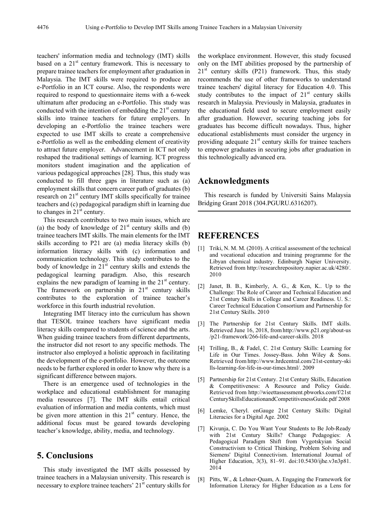teachers' information media and technology (IMT) skills based on a  $21<sup>st</sup>$  century framework. This is necessary to prepare trainee teachers for employment after graduation in Malaysia. The IMT skills were required to produce an e-Portfolio in an ICT course. Also, the respondents were required to respond to questionnaire items with a 6-week ultimatum after producing an e-Portfolio. This study was conducted with the intention of embedding the  $21<sup>st</sup>$  century skills into trainee teachers for future employers. In developing an e-Portfolio the trainee teachers were expected to use IMT skills to create a comprehensive e-Portfolio as well as the embedding element of creativity to attract future employer. Advancement in ICT not only reshaped the traditional settings of learning. ICT progress monitors student imagination and the application of various pedagogical approaches [28]. Thus, this study was conducted to fill three gaps in literature such as (a) employment skills that concern career path of graduates (b) research on 21<sup>st</sup> century IMT skills specifically for trainee teachers and (c) pedagogical paradigm shift in learning due to changes in  $21<sup>st</sup>$  century.

This research contributes to two main issues, which are (a) the body of knowledge of  $21<sup>st</sup>$  century skills and (b) trainee teachers IMT skills. The main elements for the IMT skills according to P21 are (a) media literacy skills (b) information literacy skills with (c) information and communication technology. This study contributes to the body of knowledge in  $21<sup>st</sup>$  century skills and extends the pedagogical learning paradigm. Also, this research explains the new paradigm of learning in the  $21<sup>st</sup>$  century. The framework on partnership in  $21<sup>st</sup>$  century skills contributes to the exploration of trainee teacher's workforce in this fourth industrial revolution.

Integrating IMT literacy into the curriculum has shown that TESOL trainee teachers have significant media literacy skills compared to students of science and the arts. When guiding trainee teachers from different departments, the instructor did not resort to any specific methods. The instructor also employed a holistic approach in facilitating the development of the e-portfolio. However, the outcome needs to be further explored in order to know why there is a significant difference between majors.

There is an emergence used of technologies in the workplace and educational establishment for managing media resources [7]. The IMT skills entail critical evaluation of information and media contents, which must be given more attention in this  $21<sup>st</sup>$  century. Hence, the additional focus must be geared towards developing teacher's knowledge, ability, media, and technology.

# **5. Conclusions**

This study investigated the IMT skills possessed by trainee teachers in a Malaysian university. This research is necessary to explore trainee teachers' 21<sup>st</sup> century skills for

the workplace environment. However, this study focused only on the IMT abilities proposed by the partnership of  $21<sup>st</sup>$  century skills (P21) framework. Thus, this study recommends the use of other frameworks to understand trainee teachers' digital literacy for Education 4.0. This study contributes to the impact of  $21<sup>st</sup>$  century skills research in Malaysia. Previously in Malaysia, graduates in the educational field used to secure employment easily after graduation. However, securing teaching jobs for graduates has become difficult nowadays. Thus, higher educational establishments must consider the urgency in providing adequate  $21<sup>st</sup>$  century skills for trainee teachers to empower graduates in securing jobs after graduation in this technologically advanced era.

# **Acknowledgments**

This research is funded by Universiti Sains Malaysia Bridging Grant 2018 (304.PGURU.6316207).

# **REFERENCES**

- [1] Triki, N. M. M. (2010). A critical assessment of the technical and vocational education and training programme for the Libyan chemical industry. Edinburgh Napier University. Retrieved from http://researchrepository.napier.ac.uk/4280/. 2010
- [2] Janet, B. B., Kimberly, A. G., & Ken, K.. Up to the Challenge: The Role of Career and Technical Education and 21st Century Skills in College and Career Readiness. U. S.: Career Technical Education Consortium and Partnership for 21st Century Skills. 2010
- [3] The Partnership for 21st Century Skills. IMT skills. Retrieved June 16, 2018, fromhttp://www.p21.org/about-us /p21-framework/266-life-and-career-skills. 2018
- [4] Trilling, B., & Fadel, C. 21st Century Skills: Learning for Life in Our Times. Jossey-Bass. John Wiley & Sons. Retrieved from http://www.hrdcentral.com/21st-century-ski lls-learning-for-life-in-our-times.html/. 2009
- [5] Partnership for 21st Century. 21st Century Skills, Education & Competitiveness: A Resource and Policy Guide. Retrieved from http://wieettassessment.pbworks.com/f/21st CenturySkillsEducationandCompetitivenessGuide.pdf 2008
- [6] Lemke, Cheryl. enGauge 21st Century Skills: Digital Literacies for a Digital Age. 2002
- [7] Kivunja, C. Do You Want Your Students to Be Job-Ready with 21st Century Skills? Change Pedagogies: A Pedagogical Paradigm Shift from Vygotskyian Social Constructivism to Critical Thinking, Problem Solving and Siemens' Digital Connectivism. International Journal of Higher Education, 3(3), 81–91. doi:10.5430/ijhe.v3n3p81. 2014
- [8] Pitts, W., & Lehner-Quam, A. Engaging the Framework for Information Literacy for Higher Education as a Lens for